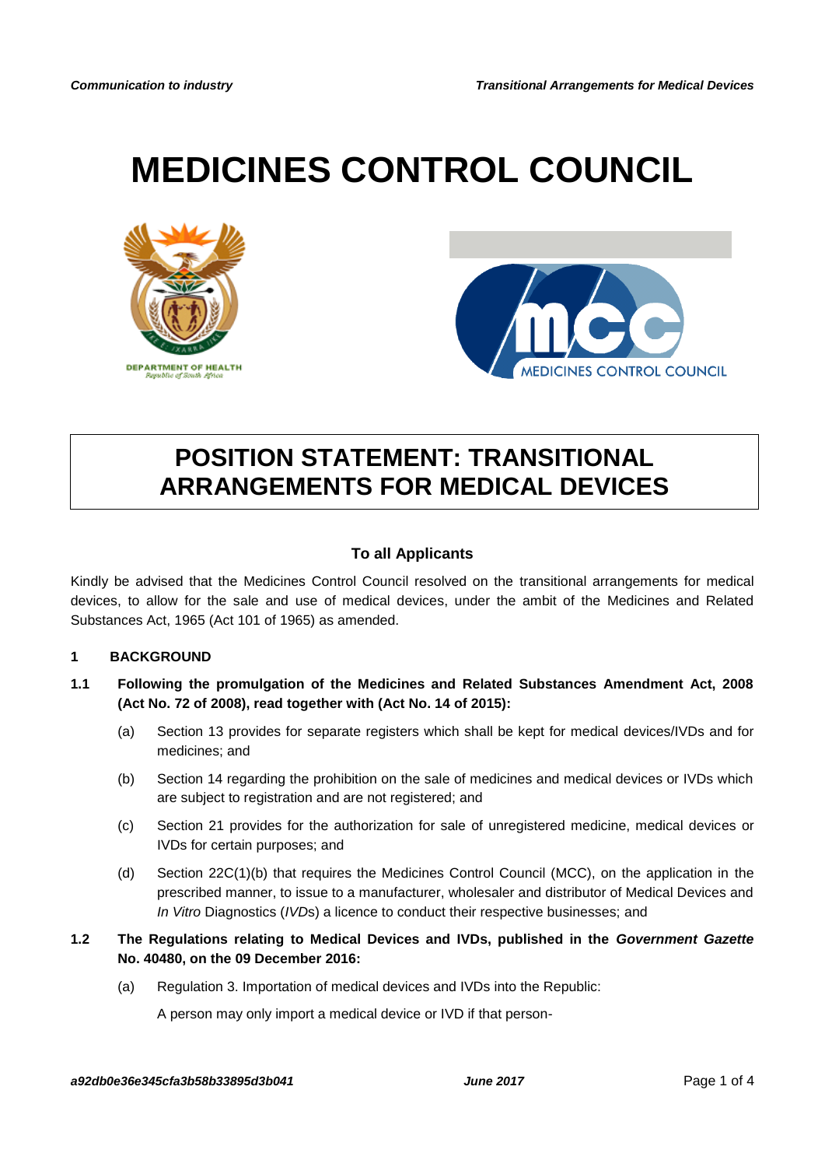# **MEDICINES CONTROL COUNCIL**





## **POSITION STATEMENT: TRANSITIONAL ARRANGEMENTS FOR MEDICAL DEVICES**

### **To all Applicants**

Kindly be advised that the Medicines Control Council resolved on the transitional arrangements for medical devices, to allow for the sale and use of medical devices, under the ambit of the Medicines and Related Substances Act, 1965 (Act 101 of 1965) as amended.

#### **1 BACKGROUND**

- **1.1 Following the promulgation of the Medicines and Related Substances Amendment Act, 2008 (Act No. 72 of 2008), read together with (Act No. 14 of 2015):**
	- (a) Section 13 provides for separate registers which shall be kept for medical devices/IVDs and for medicines; and
	- (b) Section 14 regarding the prohibition on the sale of medicines and medical devices or IVDs which are subject to registration and are not registered; and
	- (c) Section 21 provides for the authorization for sale of unregistered medicine, medical devices or IVDs for certain purposes; and
	- (d) Section 22C(1)(b) that requires the Medicines Control Council (MCC), on the application in the prescribed manner, to issue to a manufacturer, wholesaler and distributor of Medical Devices and *In Vitro* Diagnostics (*IVD*s) a licence to conduct their respective businesses; and

#### **1.2 The Regulations relating to Medical Devices and IVDs, published in the** *Government Gazette* **No. 40480, on the 09 December 2016:**

(a) Regulation 3. Importation of medical devices and IVDs into the Republic:

A person may only import a medical device or IVD if that person-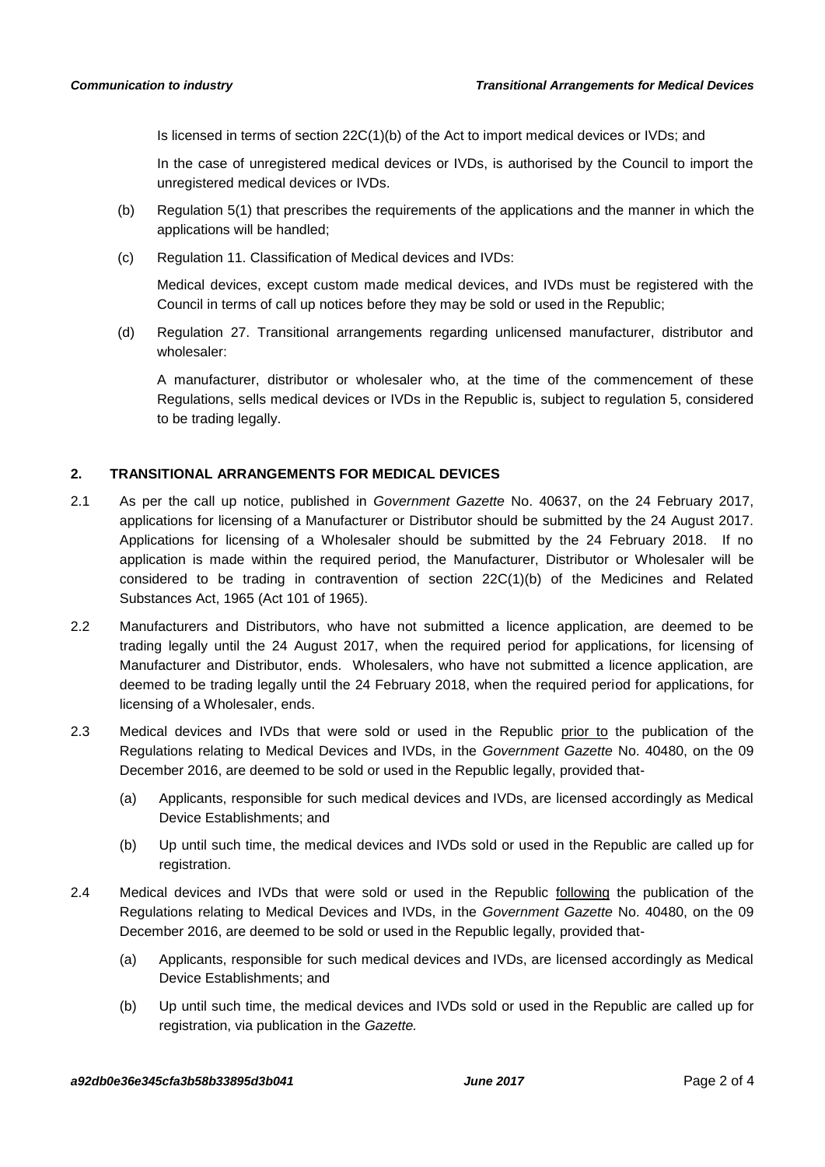Is licensed in terms of section 22C(1)(b) of the Act to import medical devices or IVDs; and

In the case of unregistered medical devices or IVDs, is authorised by the Council to import the unregistered medical devices or IVDs.

- (b) Regulation 5(1) that prescribes the requirements of the applications and the manner in which the applications will be handled;
- (c) Regulation 11. Classification of Medical devices and IVDs:

Medical devices, except custom made medical devices, and IVDs must be registered with the Council in terms of call up notices before they may be sold or used in the Republic;

(d) Regulation 27. Transitional arrangements regarding unlicensed manufacturer, distributor and wholesaler:

A manufacturer, distributor or wholesaler who, at the time of the commencement of these Regulations, sells medical devices or IVDs in the Republic is, subject to regulation 5, considered to be trading legally.

### **2. TRANSITIONAL ARRANGEMENTS FOR MEDICAL DEVICES**

- 2.1 As per the call up notice, published in *Government Gazette* No. 40637, on the 24 February 2017, applications for licensing of a Manufacturer or Distributor should be submitted by the 24 August 2017. Applications for licensing of a Wholesaler should be submitted by the 24 February 2018. If no application is made within the required period, the Manufacturer, Distributor or Wholesaler will be considered to be trading in contravention of section 22C(1)(b) of the Medicines and Related Substances Act, 1965 (Act 101 of 1965).
- 2.2 Manufacturers and Distributors, who have not submitted a licence application, are deemed to be trading legally until the 24 August 2017, when the required period for applications, for licensing of Manufacturer and Distributor, ends. Wholesalers, who have not submitted a licence application, are deemed to be trading legally until the 24 February 2018, when the required period for applications, for licensing of a Wholesaler, ends.
- 2.3 Medical devices and IVDs that were sold or used in the Republic prior to the publication of the Regulations relating to Medical Devices and IVDs, in the *Government Gazette* No. 40480, on the 09 December 2016, are deemed to be sold or used in the Republic legally, provided that-
	- (a) Applicants, responsible for such medical devices and IVDs, are licensed accordingly as Medical Device Establishments; and
	- (b) Up until such time, the medical devices and IVDs sold or used in the Republic are called up for registration.
- 2.4 Medical devices and IVDs that were sold or used in the Republic following the publication of the Regulations relating to Medical Devices and IVDs, in the *Government Gazette* No. 40480, on the 09 December 2016, are deemed to be sold or used in the Republic legally, provided that-
	- (a) Applicants, responsible for such medical devices and IVDs, are licensed accordingly as Medical Device Establishments; and
	- (b) Up until such time, the medical devices and IVDs sold or used in the Republic are called up for registration, via publication in the *Gazette.*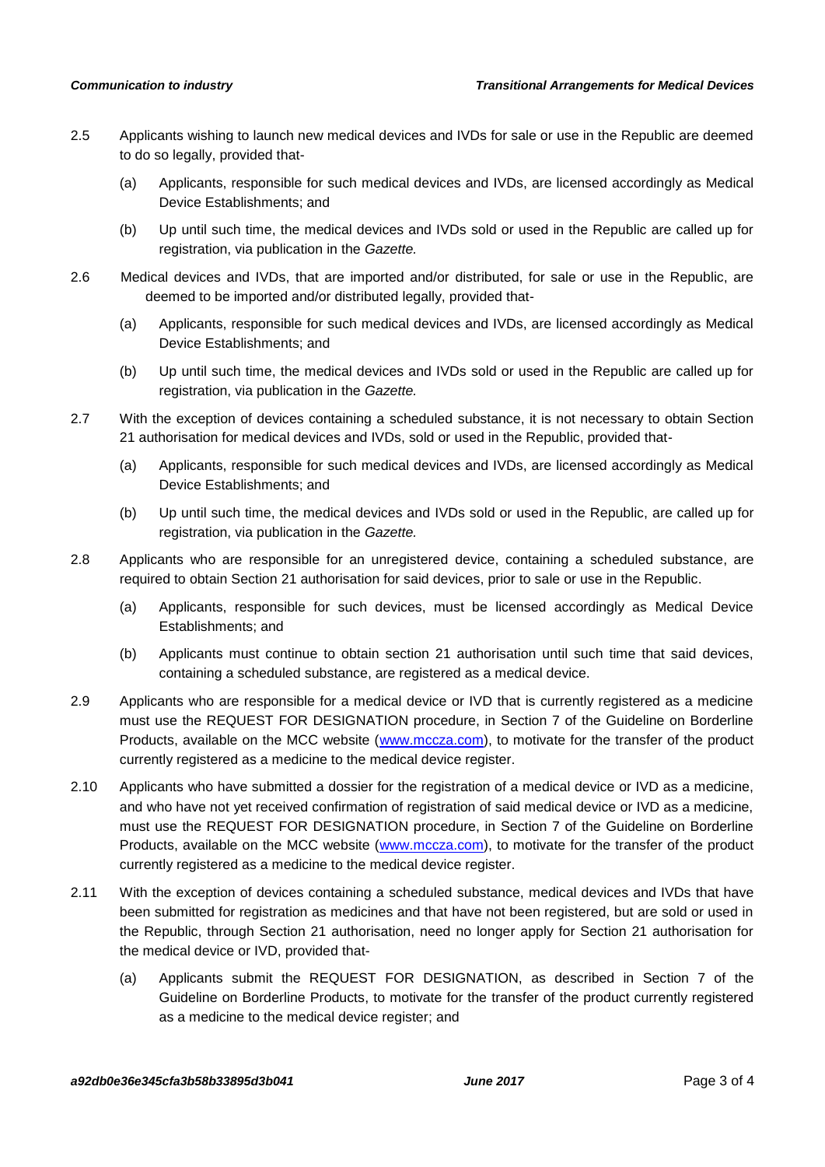- 2.5 Applicants wishing to launch new medical devices and IVDs for sale or use in the Republic are deemed to do so legally, provided that-
	- (a) Applicants, responsible for such medical devices and IVDs, are licensed accordingly as Medical Device Establishments; and
	- (b) Up until such time, the medical devices and IVDs sold or used in the Republic are called up for registration, via publication in the *Gazette.*
- 2.6 Medical devices and IVDs, that are imported and/or distributed, for sale or use in the Republic, are deemed to be imported and/or distributed legally, provided that-
	- (a) Applicants, responsible for such medical devices and IVDs, are licensed accordingly as Medical Device Establishments; and
	- (b) Up until such time, the medical devices and IVDs sold or used in the Republic are called up for registration, via publication in the *Gazette.*
- 2.7 With the exception of devices containing a scheduled substance, it is not necessary to obtain Section 21 authorisation for medical devices and IVDs, sold or used in the Republic, provided that-
	- (a) Applicants, responsible for such medical devices and IVDs, are licensed accordingly as Medical Device Establishments; and
	- (b) Up until such time, the medical devices and IVDs sold or used in the Republic, are called up for registration, via publication in the *Gazette.*
- 2.8 Applicants who are responsible for an unregistered device, containing a scheduled substance, are required to obtain Section 21 authorisation for said devices, prior to sale or use in the Republic.
	- (a) Applicants, responsible for such devices, must be licensed accordingly as Medical Device Establishments; and
	- (b) Applicants must continue to obtain section 21 authorisation until such time that said devices, containing a scheduled substance, are registered as a medical device.
- 2.9 Applicants who are responsible for a medical device or IVD that is currently registered as a medicine must use the REQUEST FOR DESIGNATION procedure, in Section 7 of the Guideline on Borderline Products, available on the MCC website [\(www.mccza.com\)](http://www.mccza.com/), to motivate for the transfer of the product currently registered as a medicine to the medical device register.
- 2.10 Applicants who have submitted a dossier for the registration of a medical device or IVD as a medicine, and who have not yet received confirmation of registration of said medical device or IVD as a medicine, must use the REQUEST FOR DESIGNATION procedure, in Section 7 of the Guideline on Borderline Products, available on the MCC website [\(www.mccza.com\)](http://www.mccza.com/), to motivate for the transfer of the product currently registered as a medicine to the medical device register.
- 2.11 With the exception of devices containing a scheduled substance, medical devices and IVDs that have been submitted for registration as medicines and that have not been registered, but are sold or used in the Republic, through Section 21 authorisation, need no longer apply for Section 21 authorisation for the medical device or IVD, provided that-
	- (a) Applicants submit the REQUEST FOR DESIGNATION, as described in Section 7 of the Guideline on Borderline Products, to motivate for the transfer of the product currently registered as a medicine to the medical device register; and